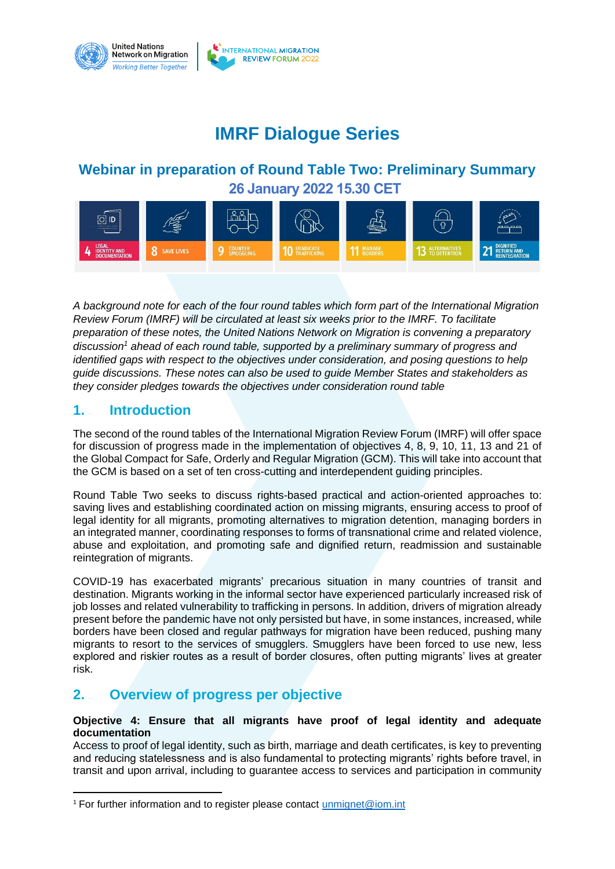

# **IMRF Dialogue Series**

## **Webinar in preparation of Round Table Two: Preliminary Summary 26 January 2022 15.30 CET**



*A background note for each of the four round tables which form part of the International Migration Review Forum (IMRF) will be circulated at least six weeks prior to the IMRF. To facilitate preparation of these notes, the United Nations Network on Migration is convening a preparatory discussion<sup>1</sup> ahead of each round table, supported by a preliminary summary of progress and identified gaps with respect to the objectives under consideration, and posing questions to help guide discussions. These notes can also be used to guide Member States and stakeholders as they consider pledges towards the objectives under consideration round table*

### **1. Introduction**

The second of the round tables of the International Migration Review Forum (IMRF) will offer space for discussion of progress made in the implementation of objectives 4, 8, 9, 10, 11, 13 and 21 of the Global Compact for Safe, Orderly and Regular Migration (GCM). This will take into account that the GCM is based on a set of ten cross-cutting and interdependent guiding principles.

Round Table Two seeks to discuss rights-based practical and action-oriented approaches to: saving lives and establishing coordinated action on missing migrants, ensuring access to proof of legal identity for all migrants, promoting alternatives to migration detention, managing borders in an integrated manner, coordinating responses to forms of transnational crime and related violence, abuse and exploitation, and promoting safe and dignified return, readmission and sustainable reintegration of migrants.

COVID-19 has exacerbated migrants' precarious situation in many countries of transit and destination. Migrants working in the informal sector have experienced particularly increased risk of job losses and related vulnerability to trafficking in persons. In addition, drivers of migration already present before the pandemic have not only persisted but have, in some instances, increased, while borders have been closed and regular pathways for migration have been reduced, pushing many migrants to resort to the services of smugglers. Smugglers have been forced to use new, less explored and riskier routes as a result of border closures, often putting migrants' lives at greater risk.

## **2. Overview of progress per objective**

#### **Objective 4: Ensure that all migrants have proof of legal identity and adequate documentation**

Access to proof of legal identity, such as birth, marriage and death certificates, is key to preventing and reducing statelessness and is also fundamental to protecting migrants' rights before travel, in transit and upon arrival, including to guarantee access to services and participation in community

<sup>&</sup>lt;sup>1</sup> For further information and to register please contact [unmignet@iom.int](mailto:unmignet@iom.int)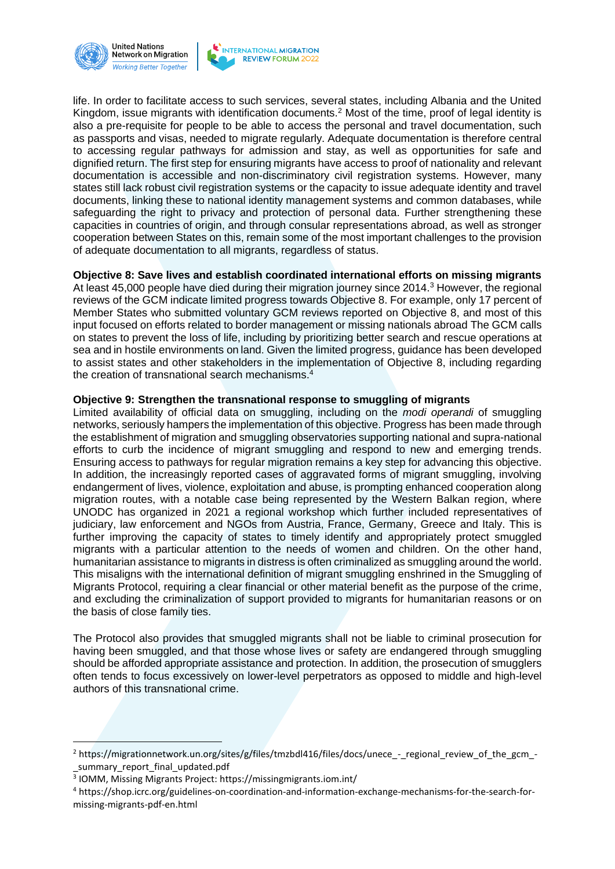



life. In order to facilitate access to such services, several states, including Albania and the United Kingdom, issue migrants with identification documents.<sup>2</sup> Most of the time, proof of legal identity is also a pre-requisite for people to be able to access the personal and travel documentation, such as passports and visas, needed to migrate regularly. Adequate documentation is therefore central to accessing regular pathways for admission and stay, as well as opportunities for safe and dignified return. The first step for ensuring migrants have access to proof of nationality and relevant documentation is accessible and non-discriminatory civil registration systems. However, many states still lack robust civil registration systems or the capacity to issue adequate identity and travel documents, linking these to national identity management systems and common databases, while safeguarding the right to privacy and protection of personal data. Further strengthening these capacities in countries of origin, and through consular representations abroad, as well as stronger cooperation between States on this, remain some of the most important challenges to the provision of adequate documentation to all migrants, regardless of status.

#### **Objective 8: Save lives and establish coordinated international efforts on missing migrants**

At least 45,000 people have died during their migration journey since 2014.<sup>3</sup> However, the regional reviews of the GCM indicate limited progress towards Objective 8. For example, only 17 percent of Member States who submitted voluntary GCM reviews reported on Objective 8, and most of this input focused on efforts related to border management or missing nationals abroad The GCM calls on states to prevent the loss of life, including by prioritizing better search and rescue operations at sea and in hostile environments on land. Given the limited progress, guidance has been developed to assist states and other stakeholders in the implementation of Objective 8, including regarding the creation of transnational search mechanisms.<sup>4</sup>

#### **Objective 9: Strengthen the transnational response to smuggling of migrants**

Limited availability of official data on smuggling, including on the *modi operandi* of smuggling networks, seriously hampers the implementation of this objective. Progress has been made through the establishment of migration and smuggling observatories supporting national and supra-national efforts to curb the incidence of migrant smuggling and respond to new and emerging trends. Ensuring access to pathways for regular migration remains a key step for advancing this objective. In addition, the increasingly reported cases of aggravated forms of migrant smuggling, involving endangerment of lives, violence, exploitation and abuse, is prompting enhanced cooperation along migration routes, with a notable case being represented by the Western Balkan region, where UNODC has organized in 2021 a regional workshop which further included representatives of judiciary, law enforcement and NGOs from Austria, France, Germany, Greece and Italy. This is further improving the capacity of states to timely identify and appropriately protect smuggled migrants with a particular attention to the needs of women and children. On the other hand, humanitarian assistance to migrants in distress is often criminalized as smuggling around the world. This misaligns with the international definition of migrant smuggling enshrined in the Smuggling of Migrants Protocol, requiring a clear financial or other material benefit as the purpose of the crime, and excluding the criminalization of support provided to migrants for humanitarian reasons or on the basis of close family ties.

The Protocol also provides that smuggled migrants shall not be liable to criminal prosecution for having been smuggled, and that those whose lives or safety are endangered through smuggling should be afforded appropriate assistance and protection. In addition, the prosecution of smugglers often tends to focus excessively on lower-level perpetrators as opposed to middle and high-level authors of this transnational crime.

<sup>&</sup>lt;sup>2</sup> https://migrationnetwork.un.org/sites/g/files/tmzbdl416/files/docs/unece - regional review of the gcm -\_summary\_report\_final\_updated.pdf

<sup>3</sup> IOMM, Missing Migrants Project: https://missingmigrants.iom.int/

<sup>4</sup> https://shop.icrc.org/guidelines-on-coordination-and-information-exchange-mechanisms-for-the-search-formissing-migrants-pdf-en.html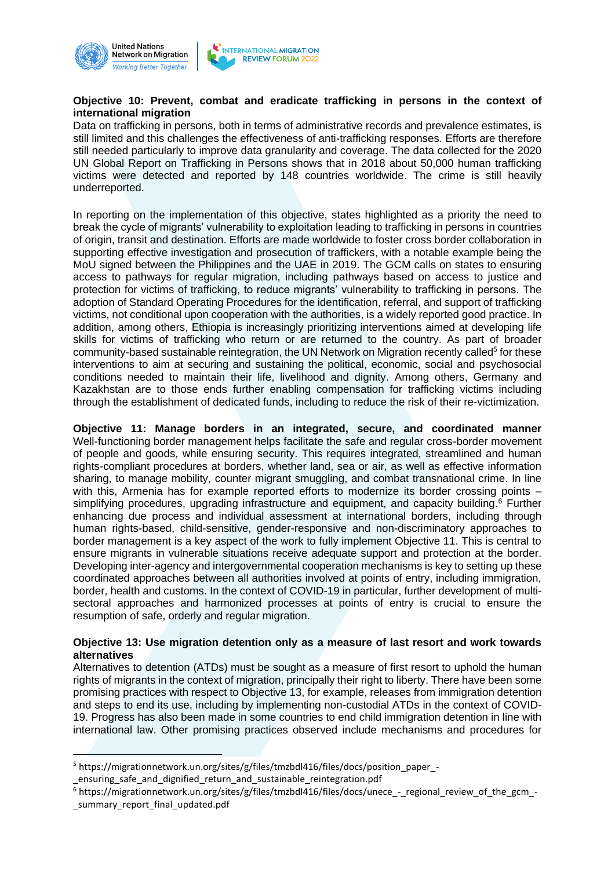



#### **Objective 10: Prevent, combat and eradicate trafficking in persons in the context of international migration**

Data on trafficking in persons, both in terms of administrative records and prevalence estimates, is still limited and this challenges the effectiveness of anti-trafficking responses. Efforts are therefore still needed particularly to improve data granularity and coverage. The data collected for the 2020 UN Global Report on Trafficking in Persons shows that in 2018 about 50,000 human trafficking victims were detected and reported by 148 countries worldwide. The crime is still heavily underreported.

In reporting on the implementation of this objective, states highlighted as a priority the need to break the cycle of migrants' vulnerability to exploitation leading to trafficking in persons in countries of origin, transit and destination. Efforts are made worldwide to foster cross border collaboration in supporting effective investigation and prosecution of traffickers, with a notable example being the MoU signed between the Philippines and the UAE in 2019. The GCM calls on states to ensuring access to pathways for regular migration, including pathways based on access to justice and protection for victims of trafficking, to reduce migrants' vulnerability to trafficking in persons. The adoption of Standard Operating Procedures for the identification, referral, and support of trafficking victims, not conditional upon cooperation with the authorities, is a widely reported good practice. In addition, among others, Ethiopia is increasingly prioritizing interventions aimed at developing life skills for victims of trafficking who return or are returned to the country. As part of broader community-based sustainable reintegration, the UN Network on Migration recently called<sup>5</sup> for these interventions to aim at securing and sustaining the political, economic, social and psychosocial conditions needed to maintain their life, livelihood and dignity. Among others, Germany and Kazakhstan are to those ends further enabling compensation for trafficking victims including through the establishment of dedicated funds, including to reduce the risk of their re-victimization.

**Objective 11: Manage borders in an integrated, secure, and coordinated manner**  Well-functioning border management helps facilitate the safe and regular cross-border movement of people and goods, while ensuring security. This requires integrated, streamlined and human rights-compliant procedures at borders, whether land, sea or air, as well as effective information sharing, to manage mobility, counter migrant smuggling, and combat transnational crime. In line with this, Armenia has for example reported efforts to modernize its border crossing points simplifying procedures, upgrading infrastructure and equipment, and capacity building.<sup>6</sup> Further enhancing due process and individual assessment at international borders, including through human rights-based, child-sensitive, gender-responsive and non-discriminatory approaches to border management is a key aspect of the work to fully implement Objective 11. This is central to ensure migrants in vulnerable situations receive adequate support and protection at the border. Developing inter-agency and intergovernmental cooperation mechanisms is key to setting up these coordinated approaches between all authorities involved at points of entry, including immigration, border, health and customs. In the context of COVID-19 in particular, further development of multisectoral approaches and harmonized processes at points of entry is crucial to ensure the resumption of safe, orderly and regular migration.

#### **Objective 13: Use migration detention only as a measure of last resort and work towards alternatives**

Alternatives to detention (ATDs) must be sought as a measure of first resort to uphold the human rights of migrants in the context of migration, principally their right to liberty. There have been some promising practices with respect to Objective 13, for example, releases from immigration detention and steps to end its use, including by implementing non-custodial ATDs in the context of COVID-19. Progress has also been made in some countries to end child immigration detention in line with international law. Other promising practices observed include mechanisms and procedures for

<sup>5</sup> https://migrationnetwork.un.org/sites/g/files/tmzbdl416/files/docs/position\_paper\_- \_ensuring\_safe\_and\_dignified\_return\_and\_sustainable\_reintegration.pdf

<sup>6</sup> https://migrationnetwork.un.org/sites/g/files/tmzbdl416/files/docs/unece\_-\_regional\_review\_of\_the\_gcm\_ summary report final updated.pdf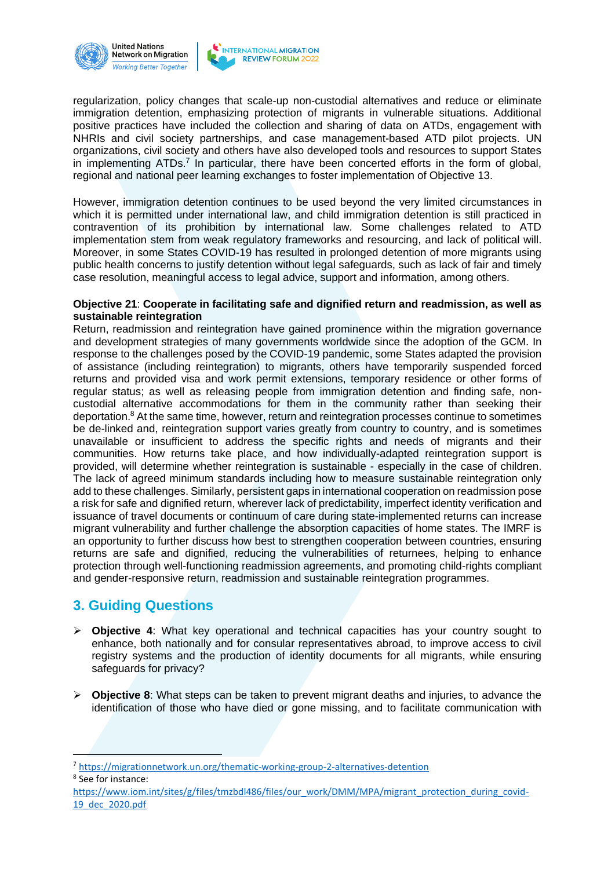



regularization, policy changes that scale-up non-custodial alternatives and reduce or eliminate immigration detention, emphasizing protection of migrants in vulnerable situations. Additional positive practices have included the collection and sharing of data on ATDs, engagement with NHRIs and civil society partnerships, and case management-based ATD pilot projects. UN organizations, civil society and others have also developed tools and resources to support States in implementing ATDs.<sup>7</sup> In particular, there have been concerted efforts in the form of global, regional and national peer learning exchanges to foster implementation of Objective 13.

However, immigration detention continues to be used beyond the very limited circumstances in which it is permitted under international law, and child immigration detention is still practiced in contravention of its prohibition by international law. Some challenges related to ATD implementation stem from weak regulatory frameworks and resourcing, and lack of political will. Moreover, in some States COVID-19 has resulted in prolonged detention of more migrants using public health concerns to justify detention without legal safeguards, such as lack of fair and timely case resolution, meaningful access to legal advice, support and information, among others.

#### **Objective 21**: **Cooperate in facilitating safe and dignified return and readmission, as well as sustainable reintegration**

Return, readmission and reintegration have gained prominence within the migration governance and development strategies of many governments worldwide since the adoption of the GCM. In response to the challenges posed by the COVID-19 pandemic, some States adapted the provision of assistance (including reintegration) to migrants, others have temporarily suspended forced returns and provided visa and work permit extensions, temporary residence or other forms of regular status; as well as releasing people from immigration detention and finding safe, noncustodial alternative accommodations for them in the community rather than seeking their deportation.<sup>8</sup> At the same time, however, return and reintegration processes continue to sometimes be de-linked and, reintegration support varies greatly from country to country, and is sometimes unavailable or insufficient to address the specific rights and needs of migrants and their communities. How returns take place, and how individually-adapted reintegration support is provided, will determine whether reintegration is sustainable - especially in the case of children. The lack of agreed minimum standards including how to measure sustainable reintegration only add to these challenges. Similarly, persistent gaps in international cooperation on readmission pose a risk for safe and dignified return, wherever lack of predictability, imperfect identity verification and issuance of travel documents or continuum of care during state-implemented returns can increase migrant vulnerability and further challenge the absorption capacities of home states. The IMRF is an opportunity to further discuss how best to strengthen cooperation between countries, ensuring returns are safe and dignified, reducing the vulnerabilities of returnees, helping to enhance protection through well-functioning readmission agreements, and promoting child-rights compliant and gender-responsive return, readmission and sustainable reintegration programmes.

## **3. Guiding Questions**

- ➢ **Objective 4**: What key operational and technical capacities has your country sought to enhance, both nationally and for consular representatives abroad, to improve access to civil registry systems and the production of identity documents for all migrants, while ensuring safeguards for privacy?
- ➢ **Objective 8**: What steps can be taken to prevent migrant deaths and injuries, to advance the identification of those who have died or gone missing, and to facilitate communication with

<sup>7</sup> <https://migrationnetwork.un.org/thematic-working-group-2-alternatives-detention>

8 See for instance:

[https://www.iom.int/sites/g/files/tmzbdl486/files/our\\_work/DMM/MPA/migrant\\_protection\\_during\\_covid-](https://www.iom.int/sites/g/files/tmzbdl486/files/our_work/DMM/MPA/migrant_protection_during_covid-19_dec_2020.pdf)[19\\_dec\\_2020.pdf](https://www.iom.int/sites/g/files/tmzbdl486/files/our_work/DMM/MPA/migrant_protection_during_covid-19_dec_2020.pdf)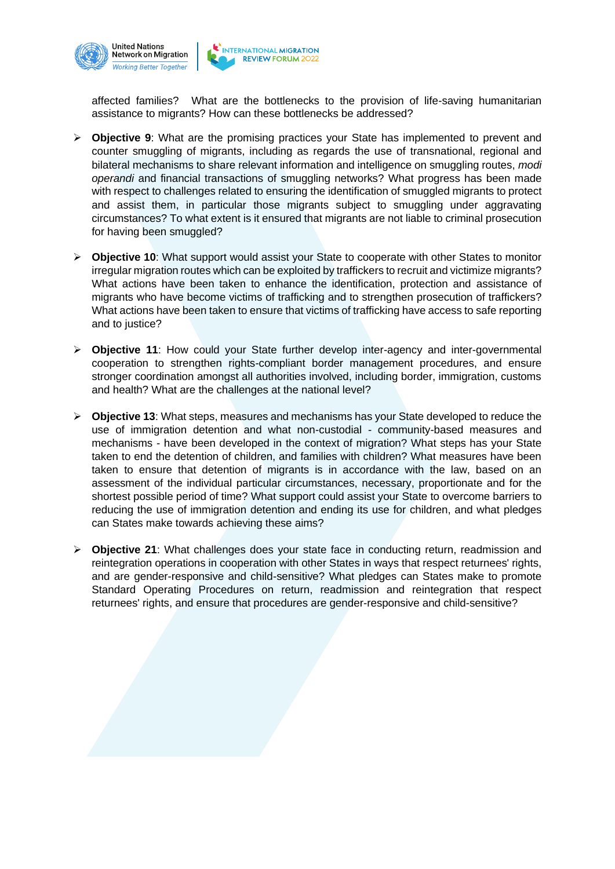

affected families? What are the bottlenecks to the provision of life-saving humanitarian assistance to migrants? How can these bottlenecks be addressed?

- ➢ **Objective 9**: What are the promising practices your State has implemented to prevent and counter smuggling of migrants, including as regards the use of transnational, regional and bilateral mechanisms to share relevant information and intelligence on smuggling routes, *modi operandi* and financial transactions of smuggling networks? What progress has been made with respect to challenges related to ensuring the identification of smuggled migrants to protect and assist them, in particular those migrants subject to smuggling under aggravating circumstances? To what extent is it ensured that migrants are not liable to criminal prosecution for having been smuggled?
- ➢ **Objective 10**: What support would assist your State to cooperate with other States to monitor irregular migration routes which can be exploited by traffickers to recruit and victimize migrants? What actions have been taken to enhance the identification, protection and assistance of migrants who have become victims of trafficking and to strengthen prosecution of traffickers? What actions have been taken to ensure that victims of trafficking have access to safe reporting and to justice?
- ➢ **Objective 11**: How could your State further develop inter-agency and inter-governmental cooperation to strengthen rights-compliant border management procedures, and ensure stronger coordination amongst all authorities involved, including border, immigration, customs and health? What are the challenges at the national level?
- ➢ **Objective 13**: What steps, measures and mechanisms has your State developed to reduce the use of immigration detention and what non-custodial - community-based measures and mechanisms - have been developed in the context of migration? What steps has your State taken to end the detention of children, and families with children? What measures have been taken to ensure that detention of migrants is in accordance with the law, based on an assessment of the individual particular circumstances, necessary, proportionate and for the shortest possible period of time? What support could assist your State to overcome barriers to reducing the use of immigration detention and ending its use for children, and what pledges can States make towards achieving these aims?
- ➢ **Objective 21**: What challenges does your state face in conducting return, readmission and reintegration operations in cooperation with other States in ways that respect returnees' rights, and are gender-responsive and child-sensitive? What pledges can States make to promote Standard Operating Procedures on return, readmission and reintegration that respect returnees' rights, and ensure that procedures are gender-responsive and child-sensitive?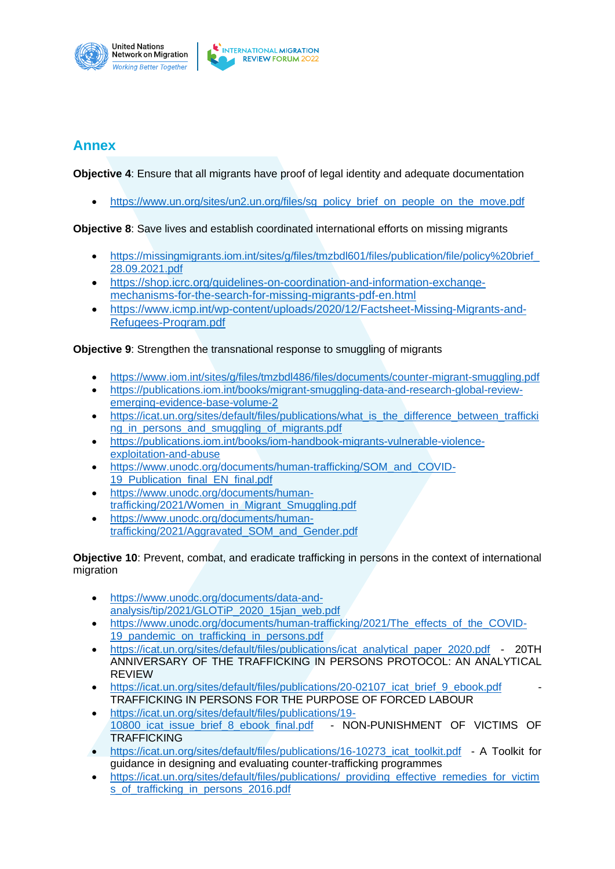

## **Annex**

**Objective 4**: Ensure that all migrants have proof of legal identity and adequate documentation

• https://www.un.org/sites/un2.un.org/files/sq\_policy\_brief\_on\_people\_on\_the\_move.pdf

**Objective 8**: Save lives and establish coordinated international efforts on missing migrants

- https://missingmigrants.iom.int/sites/g/files/tmzbdl601/files/publication/file/policy%20brief [28.09.2021.pdf](https://missingmigrants.iom.int/sites/g/files/tmzbdl601/files/publication/file/policy%20brief_28.09.2021.pdf)
- [https://shop.icrc.org/guidelines-on-coordination-and-information-exchange](https://eur02.safelinks.protection.outlook.com/?url=https%3A%2F%2Fshop.icrc.org%2Fguidelines-on-coordination-and-information-exchange-mechanisms-for-the-search-for-missing-migrants-pdf-en.html&data=04%7C01%7CCCANTOS%40iom.int%7Ce40809a94e3447f1fac008d9d9c7b418%7C1588262d23fb43b4bd6ebce49c8e6186%7C1%7C0%7C637780274011906859%7CUnknown%7CTWFpbGZsb3d8eyJWIjoiMC4wLjAwMDAiLCJQIjoiV2luMzIiLCJBTiI6Ik1haWwiLCJXVCI6Mn0%3D%7C3000&sdata=5Dzhhq8P6chWgp320toskIs0F1wDK5U8Z%2F7SaTm3WJ4%3D&reserved=0)[mechanisms-for-the-search-for-missing-migrants-pdf-en.html](https://eur02.safelinks.protection.outlook.com/?url=https%3A%2F%2Fshop.icrc.org%2Fguidelines-on-coordination-and-information-exchange-mechanisms-for-the-search-for-missing-migrants-pdf-en.html&data=04%7C01%7CCCANTOS%40iom.int%7Ce40809a94e3447f1fac008d9d9c7b418%7C1588262d23fb43b4bd6ebce49c8e6186%7C1%7C0%7C637780274011906859%7CUnknown%7CTWFpbGZsb3d8eyJWIjoiMC4wLjAwMDAiLCJQIjoiV2luMzIiLCJBTiI6Ik1haWwiLCJXVCI6Mn0%3D%7C3000&sdata=5Dzhhq8P6chWgp320toskIs0F1wDK5U8Z%2F7SaTm3WJ4%3D&reserved=0)
- [https://www.icmp.int/wp-content/uploads/2020/12/Factsheet-Missing-Migrants-and-](https://www.icmp.int/wp-content/uploads/2020/12/Factsheet-Missing-Migrants-and-Refugees-Program.pdf)[Refugees-Program.pdf](https://www.icmp.int/wp-content/uploads/2020/12/Factsheet-Missing-Migrants-and-Refugees-Program.pdf)

#### **Objective 9:** Strengthen the transnational response to smuggling of migrants

- <https://www.iom.int/sites/g/files/tmzbdl486/files/documents/counter-migrant-smuggling.pdf>
- [https://publications.iom.int/books/migrant-smuggling-data-and-research-global-review](https://publications.iom.int/books/migrant-smuggling-data-and-research-global-review-emerging-evidence-base-volume-2)[emerging-evidence-base-volume-2](https://publications.iom.int/books/migrant-smuggling-data-and-research-global-review-emerging-evidence-base-volume-2)
- [https://icat.un.org/sites/default/files/publications/what\\_is\\_the\\_difference\\_between\\_trafficki](https://icat.un.org/sites/default/files/publications/what_is_the_difference_between_trafficking_in_persons_and_smuggling_of_migrants.pdf) ng in persons and smuggling of migrants.pdf
- [https://publications.iom.int/books/iom-handbook-migrants-vulnerable-violence](https://publications.iom.int/books/iom-handbook-migrants-vulnerable-violence-exploitation-and-abuse)[exploitation-and-abuse](https://publications.iom.int/books/iom-handbook-migrants-vulnerable-violence-exploitation-and-abuse)
- https://www.unodc.org/documents/human-trafficking/SOM and COVID-[19\\_Publication\\_final\\_EN\\_final.pdf](https://www.unodc.org/documents/human-trafficking/SOM_and_COVID-19_Publication_final_EN_final.pdf)
- [https://www.unodc.org/documents/human](https://www.unodc.org/documents/human-trafficking/2021/Women_in_Migrant_Smuggling.pdf)[trafficking/2021/Women\\_in\\_Migrant\\_Smuggling.pdf](https://www.unodc.org/documents/human-trafficking/2021/Women_in_Migrant_Smuggling.pdf)
- [https://www.unodc.org/documents/human](https://www.unodc.org/documents/human-trafficking/2021/Aggravated_SOM_and_Gender.pdf)[trafficking/2021/Aggravated\\_SOM\\_and\\_Gender.pdf](https://www.unodc.org/documents/human-trafficking/2021/Aggravated_SOM_and_Gender.pdf)

**Objective 10**: Prevent, combat, and eradicate trafficking in persons in the context of international migration

- [https://www.unodc.org/documents/data-and](https://www.unodc.org/documents/data-and-analysis/tip/2021/GLOTiP_2020_15jan_web.pdf)[analysis/tip/2021/GLOTiP\\_2020\\_15jan\\_web.pdf](https://www.unodc.org/documents/data-and-analysis/tip/2021/GLOTiP_2020_15jan_web.pdf)
- [https://www.unodc.org/documents/human-trafficking/2021/The\\_effects\\_of\\_the\\_COVID-](https://www.unodc.org/documents/human-trafficking/2021/The_effects_of_the_COVID-19_pandemic_on_trafficking_in_persons.pdf)[19\\_pandemic\\_on\\_trafficking\\_in\\_persons.pdf](https://www.unodc.org/documents/human-trafficking/2021/The_effects_of_the_COVID-19_pandemic_on_trafficking_in_persons.pdf)
- [https://icat.un.org/sites/default/files/publications/icat\\_analytical\\_paper\\_2020.pdf](https://icat.un.org/sites/default/files/publications/icat_analytical_paper_2020.pdf) 20TH ANNIVERSARY OF THE TRAFFICKING IN PERSONS PROTOCOL: AN ANALYTICAL REVIEW
- [https://icat.un.org/sites/default/files/publications/20-02107\\_icat\\_brief\\_9\\_ebook.pdf](https://icat.un.org/sites/default/files/publications/20-02107_icat_brief_9_ebook.pdf) TRAFFICKING IN PERSONS FOR THE PURPOSE OF FORCED LABOUR
- [https://icat.un.org/sites/default/files/publications/19-](https://icat.un.org/sites/default/files/publications/19-10800_icat_issue_brief_8_ebook_final.pdf) 10800 icat issue brief 8 ebook final.pdf - NON-PUNISHMENT OF VICTIMS OF **TRAFFICKING**
- https://icat.un.org/sites/default/files/publications/16-10273 icat\_toolkit.pdf A Toolkit for guidance in designing and evaluating counter-trafficking programmes
- [https://icat.un.org/sites/default/files/publications/\\_providing\\_effective\\_remedies\\_for\\_victim](https://icat.un.org/sites/default/files/publications/_providing_effective_remedies_for_victims_of_trafficking_in_persons_2016.pdf) [s\\_of\\_trafficking\\_in\\_persons\\_2016.pdf](https://icat.un.org/sites/default/files/publications/_providing_effective_remedies_for_victims_of_trafficking_in_persons_2016.pdf)